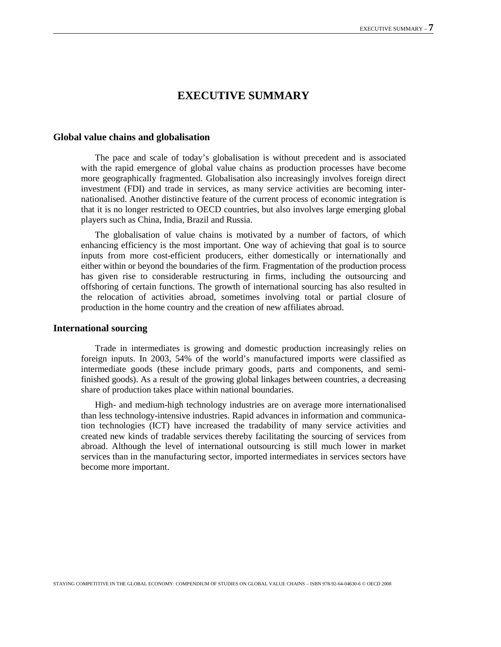# **EXECUTIVE SUMMARY**

#### **Global value chains and globalisation**

The pace and scale of today's globalisation is without precedent and is associated with the rapid emergence of global value chains as production processes have become more geographically fragmented. Globalisation also increasingly involves foreign direct investment (FDI) and trade in services, as many service activities are becoming internationalised. Another distinctive feature of the current process of economic integration is that it is no longer restricted to OECD countries, but also involves large emerging global players such as China, India, Brazil and Russia.

The globalisation of value chains is motivated by a number of factors, of which enhancing efficiency is the most important. One way of achieving that goal is to source inputs from more cost-efficient producers, either domestically or internationally and either within or beyond the boundaries of the firm. Fragmentation of the production process has given rise to considerable restructuring in firms, including the outsourcing and offshoring of certain functions. The growth of international sourcing has also resulted in the relocation of activities abroad, sometimes involving total or partial closure of production in the home country and the creation of new affiliates abroad.

### **International sourcing**

Trade in intermediates is growing and domestic production increasingly relies on foreign inputs. In 2003, 54% of the world's manufactured imports were classified as intermediate goods (these include primary goods, parts and components, and semifinished goods). As a result of the growing global linkages between countries, a decreasing share of production takes place within national boundaries.

High- and medium-high technology industries are on average more internationalised than less technology-intensive industries. Rapid advances in information and communication technologies (ICT) have increased the tradability of many service activities and created new kinds of tradable services thereby facilitating the sourcing of services from abroad. Although the level of international outsourcing is still much lower in market services than in the manufacturing sector, imported intermediates in services sectors have become more important.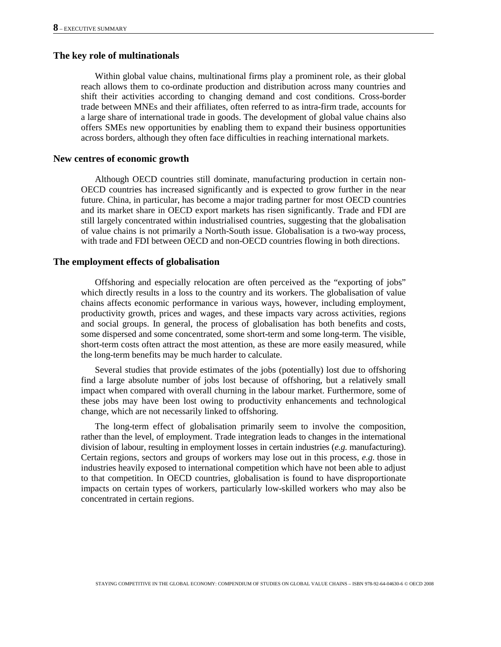### **The key role of multinationals**

Within global value chains, multinational firms play a prominent role, as their global reach allows them to co-ordinate production and distribution across many countries and shift their activities according to changing demand and cost conditions. Cross-border trade between MNEs and their affiliates, often referred to as intra-firm trade, accounts for a large share of international trade in goods. The development of global value chains also offers SMEs new opportunities by enabling them to expand their business opportunities across borders, although they often face difficulties in reaching international markets.

### **New centres of economic growth**

Although OECD countries still dominate, manufacturing production in certain non-OECD countries has increased significantly and is expected to grow further in the near future. China, in particular, has become a major trading partner for most OECD countries and its market share in OECD export markets has risen significantly. Trade and FDI are still largely concentrated within industrialised countries, suggesting that the globalisation of value chains is not primarily a North-South issue. Globalisation is a two-way process, with trade and FDI between OECD and non-OECD countries flowing in both directions.

#### **The employment effects of globalisation**

Offshoring and especially relocation are often perceived as the "exporting of jobs" which directly results in a loss to the country and its workers. The globalisation of value chains affects economic performance in various ways, however, including employment, productivity growth, prices and wages, and these impacts vary across activities, regions and social groups. In general, the process of globalisation has both benefits and costs, some dispersed and some concentrated, some short-term and some long-term. The visible, short-term costs often attract the most attention, as these are more easily measured, while the long-term benefits may be much harder to calculate.

Several studies that provide estimates of the jobs (potentially) lost due to offshoring find a large absolute number of jobs lost because of offshoring, but a relatively small impact when compared with overall churning in the labour market. Furthermore, some of these jobs may have been lost owing to productivity enhancements and technological change, which are not necessarily linked to offshoring.

The long-term effect of globalisation primarily seem to involve the composition, rather than the level, of employment. Trade integration leads to changes in the international division of labour, resulting in employment losses in certain industries (*e.g.* manufacturing). Certain regions, sectors and groups of workers may lose out in this process, *e.g.* those in industries heavily exposed to international competition which have not been able to adjust to that competition. In OECD countries, globalisation is found to have disproportionate impacts on certain types of workers, particularly low-skilled workers who may also be concentrated in certain regions.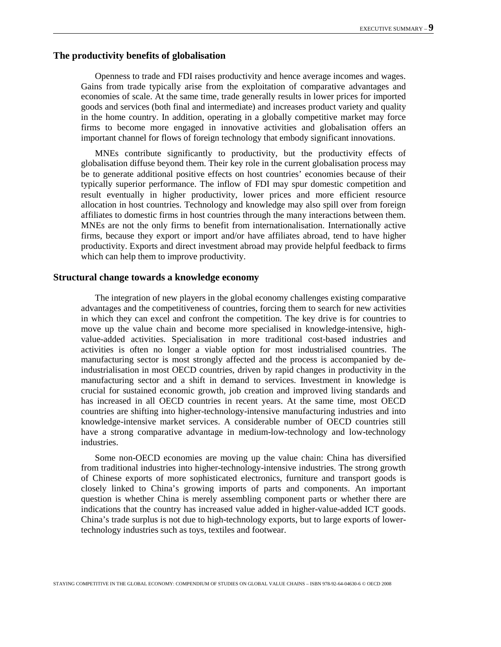### **The productivity benefits of globalisation**

Openness to trade and FDI raises productivity and hence average incomes and wages. Gains from trade typically arise from the exploitation of comparative advantages and economies of scale. At the same time, trade generally results in lower prices for imported goods and services (both final and intermediate) and increases product variety and quality in the home country. In addition, operating in a globally competitive market may force firms to become more engaged in innovative activities and globalisation offers an important channel for flows of foreign technology that embody significant innovations.

MNEs contribute significantly to productivity, but the productivity effects of globalisation diffuse beyond them. Their key role in the current globalisation process may be to generate additional positive effects on host countries' economies because of their typically superior performance. The inflow of FDI may spur domestic competition and result eventually in higher productivity, lower prices and more efficient resource allocation in host countries. Technology and knowledge may also spill over from foreign affiliates to domestic firms in host countries through the many interactions between them. MNEs are not the only firms to benefit from internationalisation. Internationally active firms, because they export or import and/or have affiliates abroad, tend to have higher productivity. Exports and direct investment abroad may provide helpful feedback to firms which can help them to improve productivity.

#### **Structural change towards a knowledge economy**

The integration of new players in the global economy challenges existing comparative advantages and the competitiveness of countries, forcing them to search for new activities in which they can excel and confront the competition. The key drive is for countries to move up the value chain and become more specialised in knowledge-intensive, highvalue-added activities. Specialisation in more traditional cost-based industries and activities is often no longer a viable option for most industrialised countries. The manufacturing sector is most strongly affected and the process is accompanied by deindustrialisation in most OECD countries, driven by rapid changes in productivity in the manufacturing sector and a shift in demand to services. Investment in knowledge is crucial for sustained economic growth, job creation and improved living standards and has increased in all OECD countries in recent years. At the same time, most OECD countries are shifting into higher-technology-intensive manufacturing industries and into knowledge-intensive market services. A considerable number of OECD countries still have a strong comparative advantage in medium-low-technology and low-technology industries.

Some non-OECD economies are moving up the value chain: China has diversified from traditional industries into higher-technology-intensive industries. The strong growth of Chinese exports of more sophisticated electronics, furniture and transport goods is closely linked to China's growing imports of parts and components. An important question is whether China is merely assembling component parts or whether there are indications that the country has increased value added in higher-value-added ICT goods. China's trade surplus is not due to high-technology exports, but to large exports of lowertechnology industries such as toys, textiles and footwear.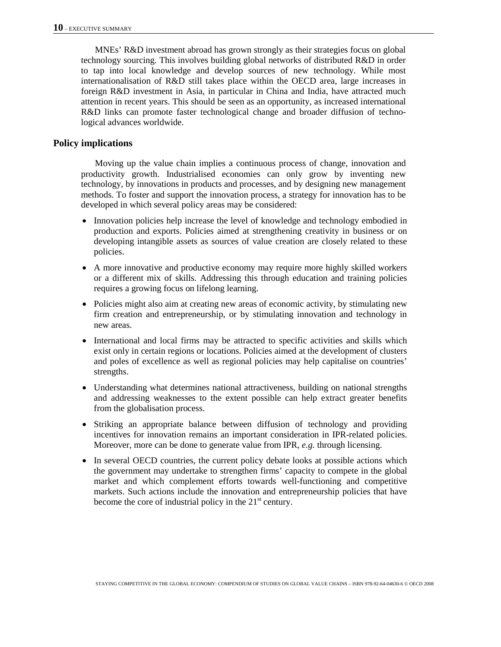MNEs' R&D investment abroad has grown strongly as their strategies focus on global technology sourcing. This involves building global networks of distributed R&D in order to tap into local knowledge and develop sources of new technology. While most internationalisation of R&D still takes place within the OECD area, large increases in foreign R&D investment in Asia, in particular in China and India, have attracted much attention in recent years. This should be seen as an opportunity, as increased international R&D links can promote faster technological change and broader diffusion of technological advances worldwide.

## **Policy implications**

Moving up the value chain implies a continuous process of change, innovation and productivity growth. Industrialised economies can only grow by inventing new technology, by innovations in products and processes, and by designing new management methods. To foster and support the innovation process, a strategy for innovation has to be developed in which several policy areas may be considered:

- Innovation policies help increase the level of knowledge and technology embodied in production and exports. Policies aimed at strengthening creativity in business or on developing intangible assets as sources of value creation are closely related to these policies.
- A more innovative and productive economy may require more highly skilled workers or a different mix of skills. Addressing this through education and training policies requires a growing focus on lifelong learning.
- Policies might also aim at creating new areas of economic activity, by stimulating new firm creation and entrepreneurship, or by stimulating innovation and technology in new areas.
- International and local firms may be attracted to specific activities and skills which exist only in certain regions or locations. Policies aimed at the development of clusters and poles of excellence as well as regional policies may help capitalise on countries' strengths.
- Understanding what determines national attractiveness, building on national strengths and addressing weaknesses to the extent possible can help extract greater benefits from the globalisation process.
- Striking an appropriate balance between diffusion of technology and providing incentives for innovation remains an important consideration in IPR-related policies. Moreover, more can be done to generate value from IPR, *e.g.* through licensing.
- In several OECD countries, the current policy debate looks at possible actions which the government may undertake to strengthen firms' capacity to compete in the global market and which complement efforts towards well-functioning and competitive markets. Such actions include the innovation and entrepreneurship policies that have become the core of industrial policy in the  $21<sup>st</sup>$  century.